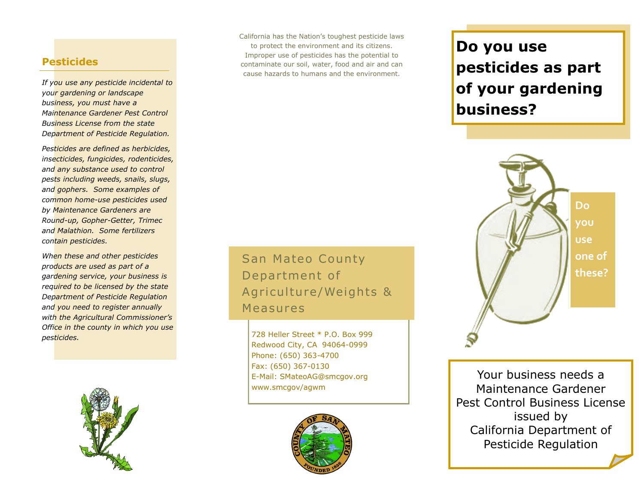## **Pesticides**

*If you use any pesticide incidental to your gardening or landscape business, you must have a Maintenance Gardener Pest Control Business License from the state Department of Pesticide Regulation.* 

*Pesticides are defined as herbicides, insecticides, fungicides, rodenticides, and any substance used to control pests including weeds, snails, slugs, and gophers. Some examples of common home-use pesticides used by Maintenance Gardeners are Round-up, Gopher-Getter, Trimec and Malathion. Some fertilizers contain pesticides.*

*When these and other pesticides products are used as part of a gardening service, your business is required to be licensed by the state Department of Pesticide Regulation and you need to register annually with the Agricultural Commissioner's Office in the county in which you use pesticides.*



California has the Nation's toughest pesticide laws to protect the environment and its citizens. Improper use of pesticides has the potential to contaminate our soil, water, food and air and can cause hazards to humans and the environment.

# **Do you use pesticides as part of your gardening business?**



Your business needs a Maintenance Gardener Pest Control Business License issued by California Department of Pesticide Regulation

San Mateo County Department of Agriculture/Weights & **Measures** 

728 Heller Street \* P.O. Box 999 Redwood City, CA 94064-0999 Phone: (650) 363-4700 Fax: (650) 367-0130 E-Mail: SMateoAG@smcgov.org www.smcgov/agwm